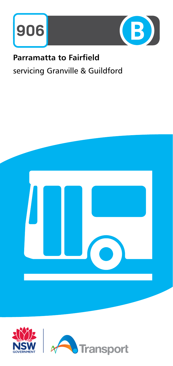



# **Parramatta to Fairfield** servicing Granville & Guildford



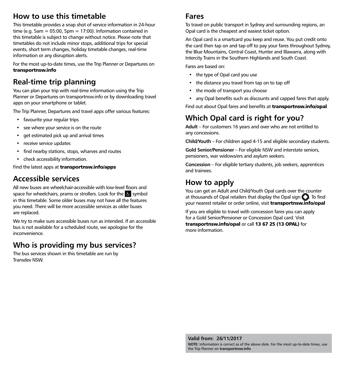### How to use this timetable

This timetable provides a snap shot of service information in 24-hour time (e.g. 5am =  $05:00$ , 5pm =  $17:00$ ). Information contained in this timetable is subject to change without notice. Please note that timetables do not include minor stops, additional trips for special events, short term changes, holiday timetable changes, real-time information or any disruption alerts.

For the most up-to-date times, use the Trip Planner or Departures on **transportnsw.info**

## Real-time trip planning

You can plan your trip with real-time information using the Trip Planner or Departures on transportnsw.info or by downloading travel apps on your smartphone or tablet.

The Trip Planner, Departures and travel apps offer various features:

- favourite your regular trips
- see where your service is on the route
- get estimated pick up and arrival times
- receive service updates
- find nearby stations, stops, wharves and routes
- check accessibility information.

Find the latest apps at **transportnsw.info/apps**

#### Accessible services

All new buses are wheelchair-accessible with low-level floors and space for wheelchairs, prams or strollers. Look for the  $\mathbb{S}$  symbol in this timetable. Some older buses may not have all the features you need. There will be more accessible services as older buses are replaced.

We try to make sure accessible buses run as intended. If an accessible bus is not available for a scheduled route, we apologise for the inconvenience.

#### Who is providing my bus services?

The bus services shown in this timetable are run by Transdev NSW.

#### Fares

To travel on public transport in Sydney and surrounding regions, an Opal card is the cheapest and easiest ticket option.

An Opal card is a smartcard you keep and reuse. You put credit onto the card then tap on and tap off to pay your fares throughout Sydney, the Blue Mountains, Central Coast, Hunter and Illawarra, along with Intercity Trains in the Southern Highlands and South Coast.

Fares are based on:

- the type of Opal card you use
- the distance you travel from tap on to tap off
- the mode of transport you choose
- any Opal benefits such as discounts and capped fares that apply.

Find out about Opal fares and benefits at **transportnsw.info/opal**

# Which Opal card is right for you?

Adult – For customers 16 years and over who are not entitled to any concessions.

Child/Youth – For children aged 4-15 and eligible secondary students.

Gold Senior/Pensioner – For eligible NSW and interstate seniors, pensioners, war widows/ers and asylum seekers.

Concession – For eligible tertiary students, job seekers, apprentices and trainees.

#### How to apply

You can get an Adult and Child/Youth Opal cards over the counter at thousands of Opal retailers that display the Opal sign  $\mathbb{C}$ . To find your nearest retailer or order online, visit **transportnsw.info/opal**

If you are eligible to travel with concession fares you can apply for a Gold Senior/Pensioner or Concession Opal card. Visit **transportnsw.info/opal** or call **13 67 25 (13 OPAL)** for more information.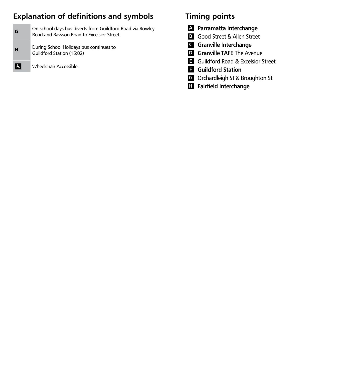# Explanation of definitions and symbols

| G | On school days bus diverts from Guildford Road via Rowley<br>Road and Rawson Road to Excelsior Street. |
|---|--------------------------------------------------------------------------------------------------------|
| H | During School Holidays bus continues to<br>Guildford Station (15:02)                                   |

Wheelchair Accessible.

 $\blacksquare$ 

### Timing points

- A Parramatta Interchange
- **B** Good Street & Allen Street
- C Granville Interchange
- **D** Granville TAFE The Avenue
- **E** Guildford Road & Excelsior Street
- **F** Guildford Station
- G Orchardleigh St & Broughton St
- **H** Fairfield Interchange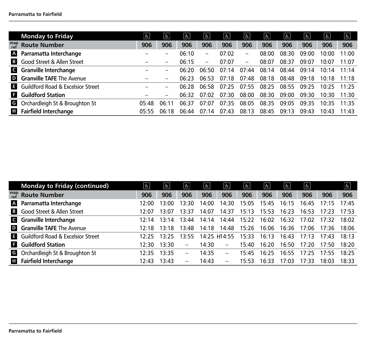|            | <b>Monday to Friday</b>                    | $\mathfrak{P}$ | $\overline{5}$           | $\left  \mathbf{P} \right $ | $\left  \mathbf{P} \right $ | $\sigma$ | $\sigma$                 | $ \mathbf{f} $ | $\left  \mathbf{P} \right $ | $\overline{b}$ | $\lfloor 6 \rfloor$ | $\boxed{6}$ |
|------------|--------------------------------------------|----------------|--------------------------|-----------------------------|-----------------------------|----------|--------------------------|----------------|-----------------------------|----------------|---------------------|-------------|
| map<br>ref | <b>Route Number</b>                        | 906            | 906                      | 906                         | 906                         | 906      | 906                      | 906            | 906                         | 906            | 906                 | 906         |
|            | A Parramatta Interchange                   |                | -                        | 06:10                       | -                           | 07:02    |                          | 08:00          | 08:30                       | 09:00          | 10:00               | 11:00       |
|            | <b>B</b> Good Street & Allen Street        |                | $\qquad \qquad$          | 06:15                       | $\qquad \qquad -$           | 07:07    | $\overline{\phantom{m}}$ | 08:07          | 08:37                       | 09:07          | 10:07               | 11:07       |
|            | G Granville Interchange                    |                | $\overline{\phantom{0}}$ | 06:20                       | 06:50                       | 07:14    | 07:44                    | 08:14          | 08:44                       | 09:14          | 10:14               | 11:14       |
|            | <b>D</b> Granville TAFE The Avenue         |                | $\overline{\phantom{0}}$ | 06:23                       | 06:53                       | 07:18    | 07:48                    | 08:18          | 08:48                       | 09:18          | 10:18               | 11:18       |
|            | <b>E</b> Guildford Road & Excelsior Street |                | $\qquad \qquad -$        | 06:28                       | 06:58                       | 07:25    | 07:55                    | 08:25          | 08:55                       | 09:25          | 10:25               | 11.25       |
|            | <b>E</b> Guildford Station                 |                | $\qquad \qquad -$        | 06:32                       | 07:02                       | 07:30    | 08:00                    | 08:30          | 09:00                       | 09:30          | 10:30               | 11:30       |
|            | <b>G</b> Orchardleigh St & Broughton St    | 05:48          | 06:11                    | 06.37                       | 07:07                       | 07:35    | 08:05                    | 08:35          | 09.05                       | 09.35          | 10.35               | 11.35       |
|            | <b>H</b> Fairfield Interchange             | 05:55          | 06:18                    | 06:44                       | 07:14                       | 07:43    | 08:13                    | 08:45          | 09:13                       | 09:43          | 10:43               | 11:43       |

|              | <b>Monday to Friday (continued)</b>          | $\overline{5}$ | နု    | $\boxed{d}$              | $\overline{b}$ | $\frac{1}{2}$                | န္    | နု $\mid$ | $ \n\theta $ | දු $\mid$ |       | $\overline{5}$ |
|--------------|----------------------------------------------|----------------|-------|--------------------------|----------------|------------------------------|-------|-----------|--------------|-----------|-------|----------------|
| map<br>ref   | <b>Route Number</b>                          | 906            | 906   | 906                      | 906            | 906                          | 906   | 906       | 906          | 906       | 906   | 906            |
|              | A Parramatta Interchange                     | 12.00          | 13:00 | 13:30                    | 14:00          | 14:30                        | 15:05 | 15:45     | 16:15        | 16:45     | 17:15 | 17.45          |
| $\mathbf{B}$ | Good Street & Allen Street                   | 12.07          | 13:07 | 13:37                    | 14:07          | 14:37                        | 15:13 | 15:53     | 16:23        | 16:53     | 17:23 | 17.53          |
|              | G Granville Interchange                      | 12.14          | 13:14 | 13:44                    | 14:14          | 14:44                        | 15:22 | 16:02     | 16:32        | 17:02     | 17.32 | 18:02          |
|              | <b>D</b> Granville TAFE The Avenue           | 12.18          | 13:18 | 13.48                    | 14:18          | 14:48                        | 15:26 | 16:06     | 16:36        | 17:06     | 17.36 | 18:06          |
| G.           | <b>Guildford Road &amp; Excelsior Street</b> | 12.25          | 13.25 | 13:55                    |                | 14:25 H14:55                 | 15:33 | 16:13     | 16:43        | 17:13     | 17.43 | 18:13          |
| E.           | <b>Guildford Station</b>                     | 12:30          | 13:30 | $\overline{\phantom{0}}$ | 14:30          | $-$                          | 15:40 | 16:20     | 16:50        | 17:20     | 17:50 | 18:20          |
| G            | Orchardleigh St & Broughton St               | 12.35          | 13:35 |                          | 14:35          | $\qquad \qquad -$            | 15:45 | 16:25     | 16:55        | 17.25     | 17.55 | 18:25          |
| Ш            | <b>Fairfield Interchange</b>                 | 12:43          | 13:43 | $\overline{\phantom{0}}$ | 14:43          | $\qquad \qquad \blacksquare$ | 15:53 | 16:33     | 17:03        | 17:33     | 18:03 | 18:33          |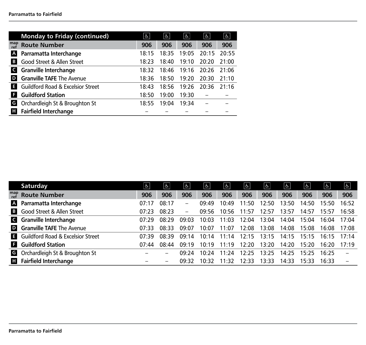|              | <b>Monday to Friday (continued)</b>          | န $ $ | နှ    | ह $\vert$ | နု    | $\boxed{6}$ |
|--------------|----------------------------------------------|-------|-------|-----------|-------|-------------|
| map<br>ref   | <b>Route Number</b>                          | 906   | 906   | 906       | 906   | 906         |
| A            | Parramatta Interchange                       | 18:15 | 18:35 | 19:05     | 20:15 | 20:55       |
| B            | Good Street & Allen Street                   | 18:23 | 18:40 | 19:10     | 20:20 | 21:00       |
| $\mathsf{C}$ | <b>Granville Interchange</b>                 | 18:32 | 18:46 | 19:16     | 20:26 | 21:06       |
| D            | <b>Granville TAFE The Avenue</b>             | 18:36 | 18:50 | 19:20     | 20:30 | 21:10       |
| Е            | <b>Guildford Road &amp; Excelsior Street</b> | 18:43 | 18:56 | 19:26     | 20:36 | 21.16       |
| F            | <b>Guildford Station</b>                     | 18:50 | 19:00 | 19:30     |       |             |
| G            | Orchardleigh St & Broughton St               | 18.55 | 19:04 | 19:34     |       |             |
| н            | <b>Fairfield Interchange</b>                 |       |       |           |       |             |

|            | Saturday                                   | $\overline{b}$ | $\mathbf{r}$    | နှ    | <u>હિ</u> | $ \mathbf{f} $ | $ \mathbf{f} $ | $\sigma$ | $ \epsilon $ | နု $\mid$ | G.    | $\boxed{d}$              |
|------------|--------------------------------------------|----------------|-----------------|-------|-----------|----------------|----------------|----------|--------------|-----------|-------|--------------------------|
| map<br>ref | <b>Route Number</b>                        | 906            | 906             | 906   | 906       | 906            | 906            | 906      | 906          | 906       | 906   | 906                      |
|            | A Parramatta Interchange                   | 07:17          | 08:17           | —     | 09.49     | 10:49          | 11:50          | 12:50    | 13:50        | 14:50     | 15:50 | 16:52                    |
|            | <b>B</b> Good Street & Allen Street        | 07:23          | 08:23           | -     | 09:56     | 10:56          | 11:57          | 12:57    | 13:57        | 14:57     | 15:57 | 16:58                    |
|            | G Granville Interchange                    | 07.29          | 08:29           | 09:03 | 10:03     | 11:03          | 12:04          | 13:04    | 14:04        | 15:04     | 16:04 | 17.04                    |
|            | <b>D</b> Granville TAFE The Avenue         | 07:33          | 08:33           | 09:07 | 10:07     | 11:07          | 12:08          | 13:08    | 14:08        | 15:08     | 16:08 | 17:08                    |
|            | <b>E</b> Guildford Road & Excelsior Street | 07.39          | 08:39           | 09:14 | 10:14     | 11:14          | 12:15          | 13:15    | 14:15        | 15:15     | 16.15 | 17.14                    |
|            | <b>E</b> Guildford Station                 | 07:44          | 08:44           | 09.19 | 10.19     | 11.19          | 12:20          | 13:20    | 14:20        | 15:20     | 16:20 | 17.19                    |
|            | <b>G</b> Orchardleigh St & Broughton St    |                |                 | 09.24 | 10.24     | 11.24          | 12:25          | 13:25    | 14:25        | 15:25     | 16.25 | $\overline{\phantom{0}}$ |
|            | <b>El</b> Fairfield Interchange            |                | $\qquad \qquad$ | 09.32 | 10.32     | 11.32          | 12:33          | 13:33    | 14:33        | 15:33     | 16.33 | $\overline{\phantom{0}}$ |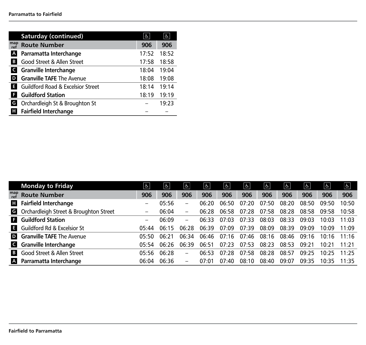|                | <b>Saturday (continued)</b>                  | န္    | $\overline{6}$ |
|----------------|----------------------------------------------|-------|----------------|
| map<br>ref     | <b>Route Number</b>                          | 906   | 906            |
| $\overline{A}$ | Parramatta Interchange                       | 17:52 | 18:52          |
| B              | Good Street & Allen Street                   | 17:58 | 18:58          |
|                | <b>G</b> Granville Interchange               | 18:04 | 19:04          |
| D              | <b>Granville TAFE The Avenue</b>             | 18:08 | 19:08          |
| E.             | <b>Guildford Road &amp; Excelsior Street</b> | 18:14 | 19:14          |
| F              | <b>Guildford Station</b>                     | 18:19 | 19:19          |
| G              | Orchardleigh St & Broughton St               |       | 19:23          |
| н              | <b>Fairfield Interchange</b>                 |       |                |

|            | <b>Monday to Friday</b>                | $\overline{5}$    | $\overline{a}$ | $\boxed{d}$              | $\boxed{d}$ | s     | နု $\mid$ | $\frac{1}{2}$ | န္    | $\boxed{d}$ | $\overline{\mathfrak{b}}$ | $\frac{1}{2}$ |
|------------|----------------------------------------|-------------------|----------------|--------------------------|-------------|-------|-----------|---------------|-------|-------------|---------------------------|---------------|
| map<br>ref | <b>Route Number</b>                    | 906               | 906            | 906                      | 906         | 906   | 906       | 906           | 906   | 906         | 906                       | 906           |
| н          | <b>Fairfield Interchange</b>           | $\qquad \qquad$   | 05:56          |                          | 06:20       | 06:50 | 07:20     | 07:50         | 08:20 | 08:50       | 09:50                     | 10:50         |
| G          | Orchardleigh Street & Broughton Street | $\qquad \qquad -$ | 06:04          | $\overline{\phantom{0}}$ | 06:28       | 06:58 | 07:28     | 07:58         | 08:28 | 08:58       | 09:58                     | 10:58         |
| н          | <b>Guildford Station</b>               | -                 | 06:09          | -                        | 06:33       | 07:03 | 07:33     | 08:03         | 08:33 | 09:03       | 10.03                     | 11:03         |
| В.         | Guildford Rd & Excelsior St            | 05:44             | 06:15          | 06:28                    | 06:39       | 07:09 | 07:39     | 08:09         | 08:39 | 09:09       | 10.09                     | 11.09         |
|            | <b>D</b> Granville TAFE The Avenue     | 05:50             | 06:21          | 06:34                    | 06:46       | 07:16 | 07:46     | 08:16         | 08:46 | 09:16       | 10:16                     | 11.16         |
|            | G Granville Interchange                | 05.54             | 06:26          | 06:39                    | 06:51       | 07:23 | 07:53     | 08:23         | 08:53 | 09:21       | 10:21                     | 11.21         |
| B          | Good Street & Allen Street             | 05:56             | 06:28          | $\overline{\phantom{0}}$ | 06:53       | 07.28 | 07:58     | 08:28         | 08:57 | 09:25       | 10.25                     | 11.25         |
| A          | Parramatta Interchange                 | 06:04             | 06:36          | $\qquad \qquad -$        | 07:01       | 07:40 | 08:10     | 08:40         | 09:07 | 09:35       | 10:35                     | 11.35         |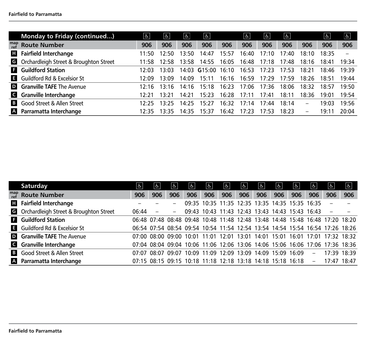|                | Monday to Friday (continued)                    | $\overline{q}$ | ჭ     | දු    | $\mathbf{P}$ |       | $\sqrt{2}$ | f.    | $\left  \mathbf{P} \right $ |                          | $\overline{6}$ | $\boxed{d}$ |
|----------------|-------------------------------------------------|----------------|-------|-------|--------------|-------|------------|-------|-----------------------------|--------------------------|----------------|-------------|
| map<br>ref     | <b>Route Number</b>                             | 906            | 906   | 906   | 906          | 906   | 906        | 906   | 906                         | 906                      | 906            | 906         |
|                | <b>El</b> Fairfield Interchange                 | 11.50          | 12.50 | 13.50 | 14:47        | 15:57 | 16:40      | 17:10 | 17·40                       | 18:10                    | 18.35          |             |
|                | <b>G</b> Orchardleigh Street & Broughton Street | 11:58          | 12.58 | 13:58 | 14:55        | 16:05 | 16:48      | 17:18 | 17:48                       | 18:16                    | 18:41          | 19:34       |
|                | <b>E</b> Guildford Station                      |                | 3.03  | 14 በ3 | G15:00       | 16:10 | 16:53      | 17.23 | 17.53                       | 18:21                    | 18:46          | 19:39       |
|                | <b>E</b> Guildford Rd & Excelsior St            | 12.09          | 13:09 | 14:09 | 15:11        | 16:16 | 16:59      | 17.29 | 17.59                       | 18:26                    | 18:51          | 19:44       |
|                | <b>D</b> Granville TAFE The Avenue              | 12.16          | 13.16 | 14·16 | 15.18        | 16.23 | 17.06      | 17.36 | 18:06                       | 18:32                    | 18:57          | 19.50       |
|                | G Granville Interchange                         | 12.21          | 3.21  | 14·21 | 15:23        | 16:28 | 17:11      | 17:41 | 18:11                       | 18:36                    | 19:01          | 19:54       |
| $\overline{B}$ | Good Street & Allen Street                      | 12・25          | 13.25 | 14.25 | 15:27        | 16:32 | 17.14      | 17.44 | 18.14                       | $\overline{\phantom{m}}$ | 19:03          | 19:56       |
|                | A Parramatta Interchange                        | 12.35          | 3.35  | 14.35 | 15:37        | 16:42 | 17:23      | 17.53 | 18:23                       | $\overline{\phantom{m}}$ | 19:1           | 20:04       |

| Saturday                                        | &     | ჭ.              | &                        | ക   | გ                                         | $\sqrt{6}$ | $\overline{b}$                                                                | ६ $\mid$ | $ \mathbf{r} $ | $\sigma$    | გ.       | $ \mathbf{r} $  | $\sqrt{r}$ |
|-------------------------------------------------|-------|-----------------|--------------------------|-----|-------------------------------------------|------------|-------------------------------------------------------------------------------|----------|----------------|-------------|----------|-----------------|------------|
| $_{ref}^{map}$ Route Number                     | 906   | 906             | 906                      | 906 | 906                                       | 906        | 906                                                                           | 906      | 906            | 906         | 906      | 906             | 906        |
| <b>H</b> Fairfield Interchange                  |       |                 | $\overline{\phantom{0}}$ |     |                                           |            | 09:35 10:35 11:35 12:35 13:35 14:35 15:35 16:35                               |          |                |             |          |                 |            |
| <b>G</b> Orchardleigh Street & Broughton Street | 06:44 |                 | $\overline{\phantom{0}}$ |     |                                           |            | 09:43 10:43 11:43 12:43 13:43 14:43 15:43 16:43                               |          |                |             |          |                 |            |
| <b>E</b> Guildford Station                      |       |                 |                          |     |                                           |            | 06:48 07:48 08:48 09:48 10:48 11:48 12:48 13:48 14:48 15:48 16:48 17:20 18:20 |          |                |             |          |                 |            |
| <b>E</b> Guildford Rd & Excelsior St            |       |                 |                          |     |                                           |            | 06:54 07:54 08:54 09:54 10:54 11:54 12:54 13:54 14:54 15:54 16:54 17:26 18:26 |          |                |             |          |                 |            |
| <b>D</b> Granville TAFE The Avenue              |       |                 |                          |     | 07:00 08:00 09:00 10:01 11:01 12:01 13:01 |            |                                                                               |          | 14:01 15:01    | 16:01 17:01 |          | $17.32$ $18.32$ |            |
| G Granville Interchange                         |       |                 |                          |     |                                           |            | 07:04 08:04 09:04 10:06 11:06 12:06 13:06 14:06 15:06 16:06 17:06 17:36 18:36 |          |                |             |          |                 |            |
| <b>B</b> Good Street & Allen Street             |       | $07:07$ $08:07$ | 09:07                    |     |                                           |            | 10:09 11:09 12:09 13:09 14:09 15:09 16:09                                     |          |                |             | $\equiv$ | 17:39 18:39     |            |
| A Parramatta Interchange                        |       |                 |                          |     |                                           |            | 07:15 08:15 09:15 10:18 11:18 12:18 13:18 14:18 15:18 16:18                   |          |                |             | $-$      | 17:47 18:47     |            |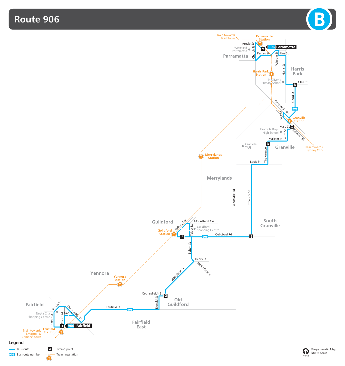